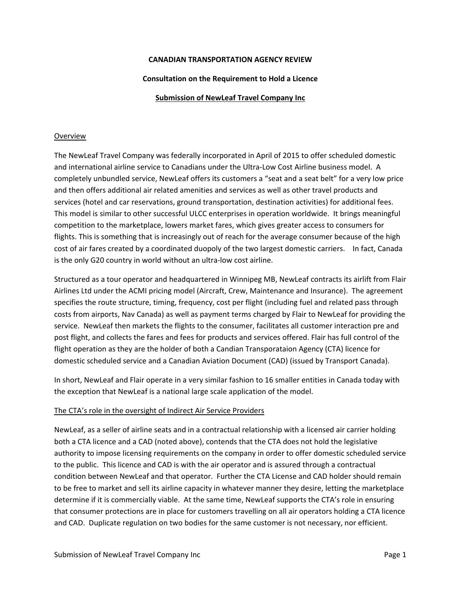## **CANADIAN TRANSPORTATION AGENCY REVIEW**

### **Consultation on the Requirement to Hold a Licence**

#### **Submission of NewLeaf Travel Company Inc**

#### Overview

The NewLeaf Travel Company was federally incorporated in April of 2015 to offer scheduled domestic and international airline service to Canadians under the Ultra-Low Cost Airline business model. A completely unbundled service, NewLeaf offers its customers a "seat and a seat belt" for a very low price and then offers additional air related amenities and services as well as other travel products and services (hotel and car reservations, ground transportation, destination activities) for additional fees. This model is similar to other successful ULCC enterprises in operation worldwide. It brings meaningful competition to the marketplace, lowers market fares, which gives greater access to consumers for flights. This is something that is increasingly out of reach for the average consumer because of the high cost of air fares created by a coordinated duopoly of the two largest domestic carriers. In fact, Canada is the only G20 country in world without an ultra‐low cost airline.

Structured as a tour operator and headquartered in Winnipeg MB, NewLeaf contracts its airlift from Flair Airlines Ltd under the ACMI pricing model (Aircraft, Crew, Maintenance and Insurance). The agreement specifies the route structure, timing, frequency, cost per flight (including fuel and related pass through costs from airports, Nav Canada) as well as payment terms charged by Flair to NewLeaf for providing the service. NewLeaf then markets the flights to the consumer, facilitates all customer interaction pre and post flight, and collects the fares and fees for products and services offered. Flair has full control of the flight operation as they are the holder of both a Candian Transporataion Agency (CTA) licence for domestic scheduled service and a Canadian Aviation Document (CAD) (issued by Transport Canada).

In short, NewLeaf and Flair operate in a very similar fashion to 16 smaller entities in Canada today with the exception that NewLeaf is a national large scale application of the model.

#### The CTA's role in the oversight of Indirect Air Service Providers

NewLeaf, as a seller of airline seats and in a contractual relationship with a licensed air carrier holding both a CTA licence and a CAD (noted above), contends that the CTA does not hold the legislative authority to impose licensing requirements on the company in order to offer domestic scheduled service to the public. This licence and CAD is with the air operator and is assured through a contractual condition between NewLeaf and that operator. Further the CTA License and CAD holder should remain to be free to market and sell its airline capacity in whatever manner they desire, letting the marketplace determine if it is commercially viable. At the same time, NewLeaf supports the CTA's role in ensuring that consumer protections are in place for customers travelling on all air operators holding a CTA licence and CAD. Duplicate regulation on two bodies for the same customer is not necessary, nor efficient.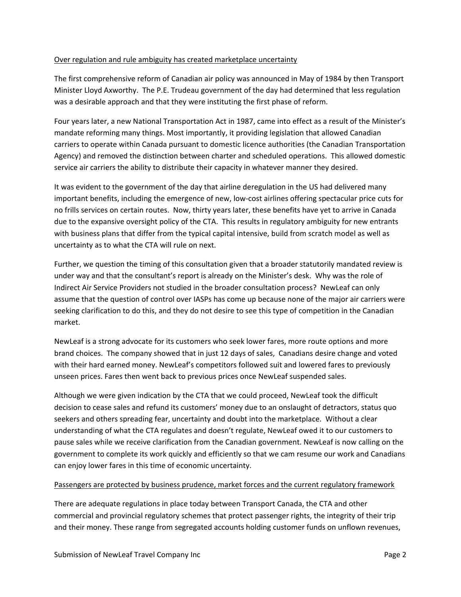## Over regulation and rule ambiguity has created marketplace uncertainty

The first comprehensive reform of Canadian air policy was announced in May of 1984 by then Transport Minister Lloyd Axworthy. The P.E. Trudeau government of the day had determined that less regulation was a desirable approach and that they were instituting the first phase of reform.

Four years later, a new National Transportation Act in 1987, came into effect as a result of the Minister's mandate reforming many things. Most importantly, it providing legislation that allowed Canadian carriers to operate within Canada pursuant to domestic licence authorities (the Canadian Transportation Agency) and removed the distinction between charter and scheduled operations. This allowed domestic service air carriers the ability to distribute their capacity in whatever manner they desired.

It was evident to the government of the day that airline deregulation in the US had delivered many important benefits, including the emergence of new, low‐cost airlines offering spectacular price cuts for no frills services on certain routes. Now, thirty years later, these benefits have yet to arrive in Canada due to the expansive oversight policy of the CTA. This results in regulatory ambiguity for new entrants with business plans that differ from the typical capital intensive, build from scratch model as well as uncertainty as to what the CTA will rule on next.

Further, we question the timing of this consultation given that a broader statutorily mandated review is under way and that the consultant's report is already on the Minister's desk. Why was the role of Indirect Air Service Providers not studied in the broader consultation process? NewLeaf can only assume that the question of control over IASPs has come up because none of the major air carriers were seeking clarification to do this, and they do not desire to see this type of competition in the Canadian market.

NewLeaf is a strong advocate for its customers who seek lower fares, more route options and more brand choices. The company showed that in just 12 days of sales, Canadians desire change and voted with their hard earned money. NewLeaf's competitors followed suit and lowered fares to previously unseen prices. Fares then went back to previous prices once NewLeaf suspended sales.

Although we were given indication by the CTA that we could proceed, NewLeaf took the difficult decision to cease sales and refund its customers' money due to an onslaught of detractors, status quo seekers and others spreading fear, uncertainty and doubt into the marketplace. Without a clear understanding of what the CTA regulates and doesn't regulate, NewLeaf owed it to our customers to pause sales while we receive clarification from the Canadian government. NewLeaf is now calling on the government to complete its work quickly and efficiently so that we cam resume our work and Canadians can enjoy lower fares in this time of economic uncertainty.

## Passengers are protected by business prudence, market forces and the current regulatory framework

There are adequate regulations in place today between Transport Canada, the CTA and other commercial and provincial regulatory schemes that protect passenger rights, the integrity of their trip and their money. These range from segregated accounts holding customer funds on unflown revenues,